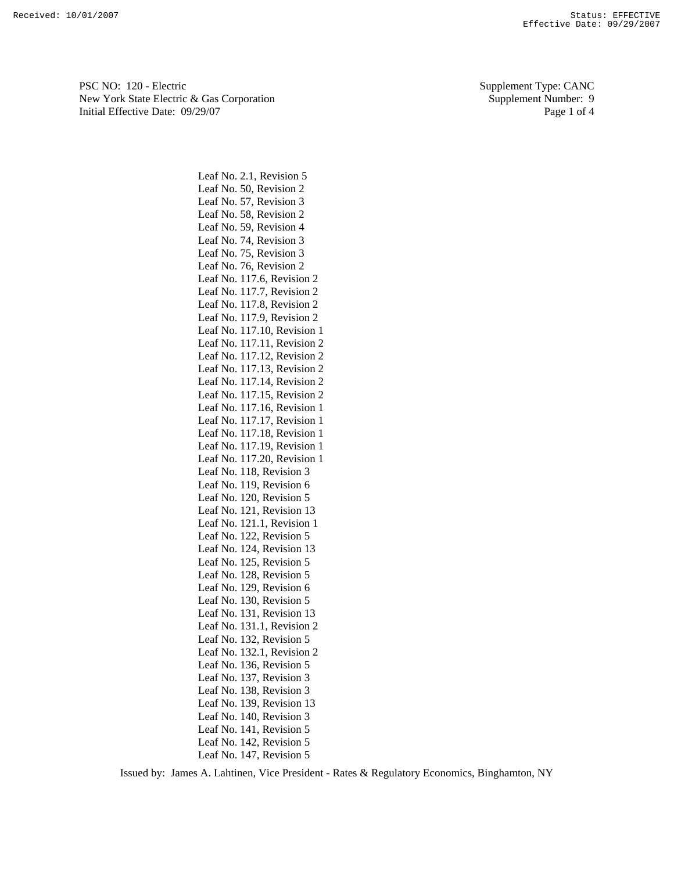PSC NO: 120 - Electric Supplement Type: CANC New York State Electric & Gas Corporation Supplement Number: 9 Initial Effective Date:  $09/29/07$  Page 1 of 4

Leaf No. 2.1, Revision 5 Leaf No. 50, Revision 2 Leaf No. 57, Revision 3 Leaf No. 58, Revision 2 Leaf No. 59, Revision 4 Leaf No. 74, Revision 3 Leaf No. 75, Revision 3 Leaf No. 76, Revision 2 Leaf No. 117.6, Revision 2 Leaf No. 117.7, Revision 2 Leaf No. 117.8, Revision 2 Leaf No. 117.9, Revision 2 Leaf No. 117.10, Revision 1 Leaf No. 117.11, Revision 2 Leaf No. 117.12, Revision 2 Leaf No. 117.13, Revision 2 Leaf No. 117.14, Revision 2 Leaf No. 117.15, Revision 2 Leaf No. 117.16, Revision 1 Leaf No. 117.17, Revision 1 Leaf No. 117.18, Revision 1 Leaf No. 117.19, Revision 1 Leaf No. 117.20, Revision 1 Leaf No. 118, Revision 3 Leaf No. 119, Revision 6 Leaf No. 120, Revision 5 Leaf No. 121, Revision 13 Leaf No. 121.1, Revision 1 Leaf No. 122, Revision 5 Leaf No. 124, Revision 13 Leaf No. 125, Revision 5 Leaf No. 128, Revision 5 Leaf No. 129, Revision 6 Leaf No. 130, Revision 5 Leaf No. 131, Revision 13 Leaf No. 131.1, Revision 2 Leaf No. 132, Revision 5 Leaf No. 132.1, Revision 2 Leaf No. 136, Revision 5 Leaf No. 137, Revision 3 Leaf No. 138, Revision 3 Leaf No. 139, Revision 13 Leaf No. 140, Revision 3 Leaf No. 141, Revision 5 Leaf No. 142, Revision 5 Leaf No. 147, Revision 5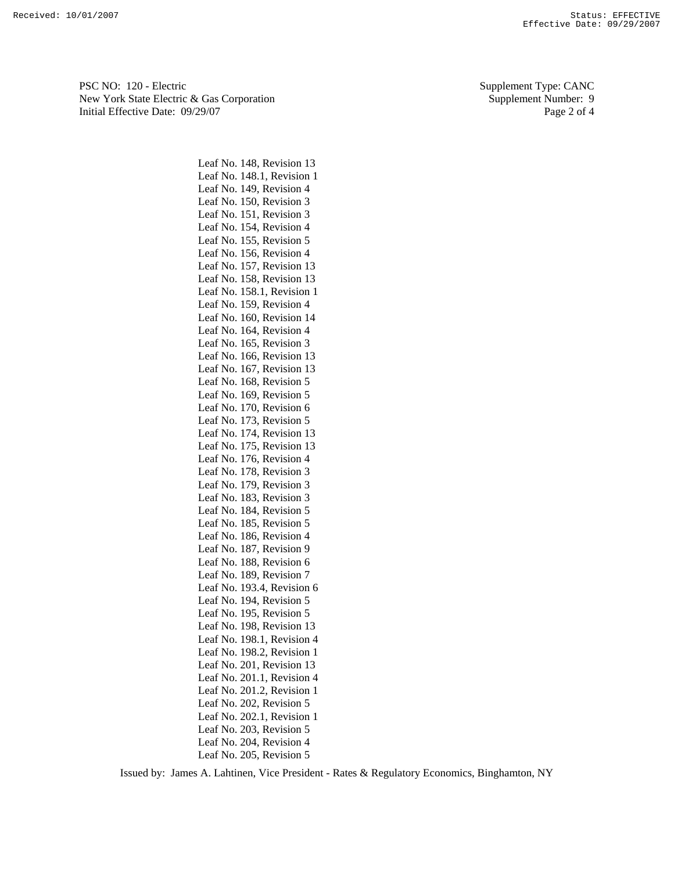PSC NO: 120 - Electric Supplement Type: CANC New York State Electric & Gas Corporation Supplement Number: 9 Initial Effective Date: 09/29/07 Page 2 of 4

> Leaf No. 148, Revision 13 Leaf No. 148.1, Revision 1 Leaf No. 149, Revision 4 Leaf No. 150, Revision 3 Leaf No. 151, Revision 3 Leaf No. 154, Revision 4 Leaf No. 155, Revision 5 Leaf No. 156, Revision 4 Leaf No. 157, Revision 13 Leaf No. 158, Revision 13 Leaf No. 158.1, Revision 1 Leaf No. 159, Revision 4 Leaf No. 160, Revision 14 Leaf No. 164, Revision 4 Leaf No. 165, Revision 3 Leaf No. 166, Revision 13 Leaf No. 167, Revision 13 Leaf No. 168, Revision 5 Leaf No. 169, Revision 5 Leaf No. 170, Revision 6 Leaf No. 173, Revision 5 Leaf No. 174, Revision 13 Leaf No. 175, Revision 13 Leaf No. 176, Revision 4 Leaf No. 178, Revision 3 Leaf No. 179, Revision 3 Leaf No. 183, Revision 3 Leaf No. 184, Revision 5 Leaf No. 185, Revision 5 Leaf No. 186, Revision 4 Leaf No. 187, Revision 9 Leaf No. 188, Revision 6 Leaf No. 189, Revision 7 Leaf No. 193.4, Revision 6 Leaf No. 194, Revision 5 Leaf No. 195, Revision 5 Leaf No. 198, Revision 13 Leaf No. 198.1, Revision 4 Leaf No. 198.2, Revision 1 Leaf No. 201, Revision 13 Leaf No. 201.1, Revision 4 Leaf No. 201.2, Revision 1 Leaf No. 202, Revision 5 Leaf No. 202.1, Revision 1 Leaf No. 203, Revision 5 Leaf No. 204, Revision 4 Leaf No. 205, Revision 5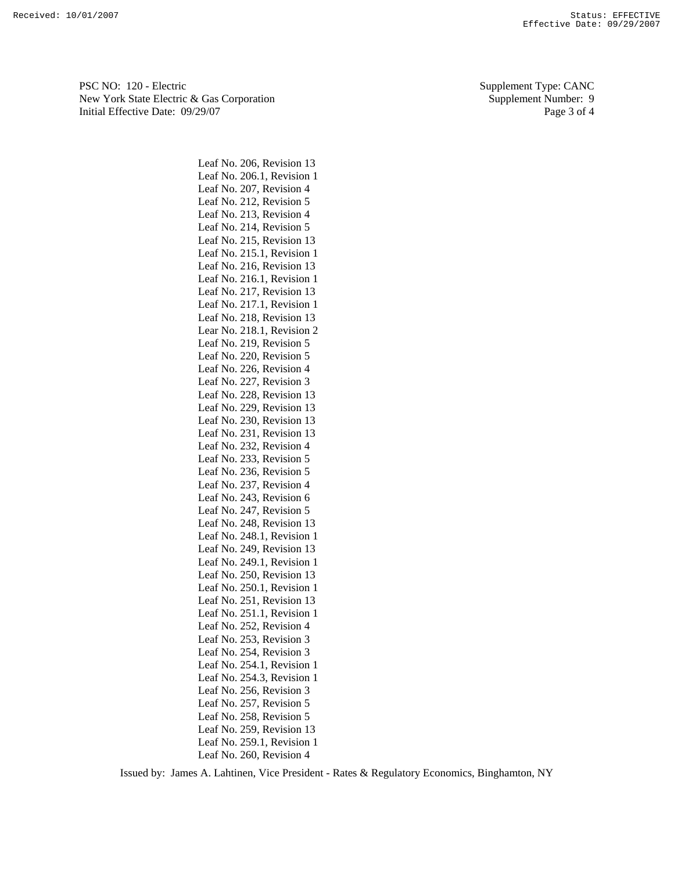PSC NO: 120 - Electric Supplement Type: CANC New York State Electric & Gas Corporation Supplement Number: 9 Initial Effective Date:  $09/29/07$  Page 3 of 4

> Leaf No. 206, Revision 13 Leaf No. 206.1, Revision 1 Leaf No. 207, Revision 4 Leaf No. 212, Revision 5 Leaf No. 213, Revision 4 Leaf No. 214, Revision 5 Leaf No. 215, Revision 13 Leaf No. 215.1, Revision 1 Leaf No. 216, Revision 13 Leaf No. 216.1, Revision 1 Leaf No. 217, Revision 13 Leaf No. 217.1, Revision 1 Leaf No. 218, Revision 13 Lear No. 218.1, Revision 2 Leaf No. 219, Revision 5 Leaf No. 220, Revision 5 Leaf No. 226, Revision 4 Leaf No. 227, Revision 3 Leaf No. 228, Revision 13 Leaf No. 229, Revision 13 Leaf No. 230, Revision 13 Leaf No. 231, Revision 13 Leaf No. 232, Revision 4 Leaf No. 233, Revision 5 Leaf No. 236, Revision 5 Leaf No. 237, Revision 4 Leaf No. 243, Revision 6 Leaf No. 247, Revision 5 Leaf No. 248, Revision 13 Leaf No. 248.1, Revision 1 Leaf No. 249, Revision 13 Leaf No. 249.1, Revision 1 Leaf No. 250, Revision 13 Leaf No. 250.1, Revision 1 Leaf No. 251, Revision 13 Leaf No. 251.1, Revision 1 Leaf No. 252, Revision 4 Leaf No. 253, Revision 3 Leaf No. 254, Revision 3 Leaf No. 254.1, Revision 1 Leaf No. 254.3, Revision 1 Leaf No. 256, Revision 3 Leaf No. 257, Revision 5 Leaf No. 258, Revision 5 Leaf No. 259, Revision 13 Leaf No. 259.1, Revision 1 Leaf No. 260, Revision 4